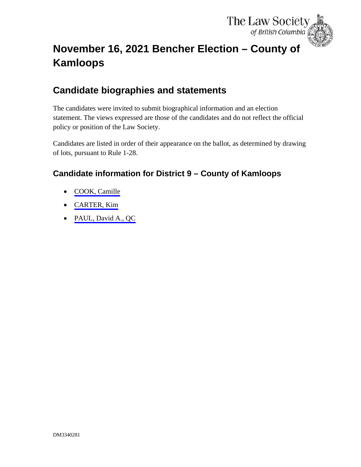

# <span id="page-0-0"></span>**November 16, 2021 Bencher Election – County of Kamloops**

# **Candidate biographies and statements**

The candidates were invited to submit biographical information and an election statement. The views expressed are those of the candidates and do not reflect the official policy or position of the Law Society.

Candidates are listed in order of their appearance on the ballot, as determined by drawing of lots, pursuant to Rule 1-28.

## **Candidate information for District 9 – County of Kamloops**

- [COOK, Camille](#page-1-0)
- [CARTER, Kim](#page-3-0)
- [PAUL, David A., QC](#page-5-0)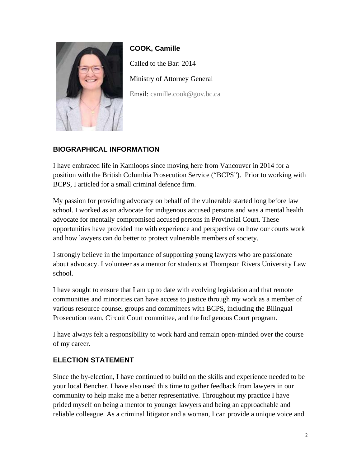<span id="page-1-0"></span>

**COOK, Camille**  Called to the Bar: 2014 Ministry of Attorney General Email: [camille.cook@gov.bc.ca](mailto:camille.cook@gov.bc.ca)

### **BIOGRAPHICAL INFORMATION**

I have embraced life in Kamloops since moving here from Vancouver in 2014 for a position with the British Columbia Prosecution Service ("BCPS"). Prior to working with BCPS, I articled for a small criminal defence firm.

My passion for providing advocacy on behalf of the vulnerable started long before law school. I worked as an advocate for indigenous accused persons and was a mental health advocate for mentally compromised accused persons in Provincial Court. These opportunities have provided me with experience and perspective on how our courts work and how lawyers can do better to protect vulnerable members of society.

I strongly believe in the importance of supporting young lawyers who are passionate about advocacy. I volunteer as a mentor for students at Thompson Rivers University Law school.

I have sought to ensure that I am up to date with evolving legislation and that remote communities and minorities can have access to justice through my work as a member of various resource counsel groups and committees with BCPS, including the Bilingual Prosecution team, Circuit Court committee, and the Indigenous Court program.

I have always felt a responsibility to work hard and remain open-minded over the course of my career.

#### **ELECTION STATEMENT**

Since the by-election, I have continued to build on the skills and experience needed to be your local Bencher. I have also used this time to gather feedback from lawyers in our community to help make me a better representative. Throughout my practice I have prided myself on being a mentor to younger lawyers and being an approachable and reliable colleague. As a criminal litigator and a woman, I can provide a unique voice and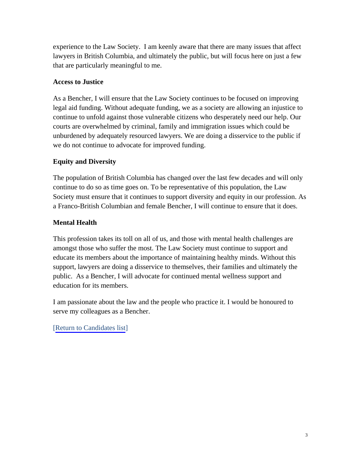experience to the Law Society. I am keenly aware that there are many issues that affect lawyers in British Columbia, and ultimately the public, but will focus here on just a few that are particularly meaningful to me.

#### **Access to Justice**

As a Bencher, I will ensure that the Law Society continues to be focused on improving legal aid funding. Without adequate funding, we as a society are allowing an injustice to continue to unfold against those vulnerable citizens who desperately need our help. Our courts are overwhelmed by criminal, family and immigration issues which could be unburdened by adequately resourced lawyers. We are doing a disservice to the public if we do not continue to advocate for improved funding.

#### **Equity and Diversity**

The population of British Columbia has changed over the last few decades and will only continue to do so as time goes on. To be representative of this population, the Law Society must ensure that it continues to support diversity and equity in our profession. As a Franco-British Columbian and female Bencher, I will continue to ensure that it does.

#### **Mental Health**

This profession takes its toll on all of us, and those with mental health challenges are amongst those who suffer the most. The Law Society must continue to support and educate its members about the importance of maintaining healthy minds. Without this support, lawyers are doing a disservice to themselves, their families and ultimately the public. As a Bencher, I will advocate for continued mental wellness support and education for its members.

I am passionate about the law and the people who practice it. I would be honoured to serve my colleagues as a Bencher.

#### [[Return to Candidates list\]](#page-0-0)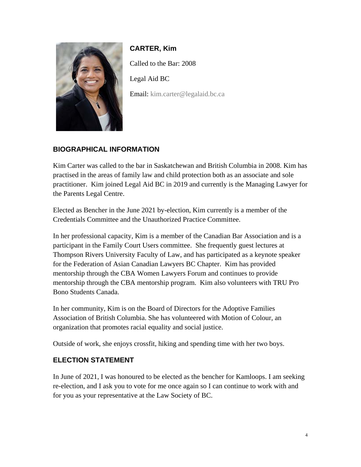<span id="page-3-0"></span>

**CARTER, Kim** Called to the Bar: 2008 Legal Aid BC Email: [kim.carter@legalaid.bc.ca](mailto:kim.carter@legalaid.bc.ca)

### **BIOGRAPHICAL INFORMATION**

Kim Carter was called to the bar in Saskatchewan and British Columbia in 2008. Kim has practised in the areas of family law and child protection both as an associate and sole practitioner. Kim joined Legal Aid BC in 2019 and currently is the Managing Lawyer for the Parents Legal Centre.

Elected as Bencher in the June 2021 by-election, Kim currently is a member of the Credentials Committee and the Unauthorized Practice Committee.

In her professional capacity, Kim is a member of the Canadian Bar Association and is a participant in the Family Court Users committee. She frequently guest lectures at Thompson Rivers University Faculty of Law, and has participated as a keynote speaker for the Federation of Asian Canadian Lawyers BC Chapter. Kim has provided mentorship through the CBA Women Lawyers Forum and continues to provide mentorship through the CBA mentorship program. Kim also volunteers with TRU Pro Bono Students Canada.

In her community, Kim is on the Board of Directors for the Adoptive Families Association of British Columbia. She has volunteered with Motion of Colour, an organization that promotes racial equality and social justice.

Outside of work, she enjoys crossfit, hiking and spending time with her two boys.

#### **ELECTION STATEMENT**

In June of 2021, I was honoured to be elected as the bencher for Kamloops. I am seeking re-election, and I ask you to vote for me once again so I can continue to work with and for you as your representative at the Law Society of BC.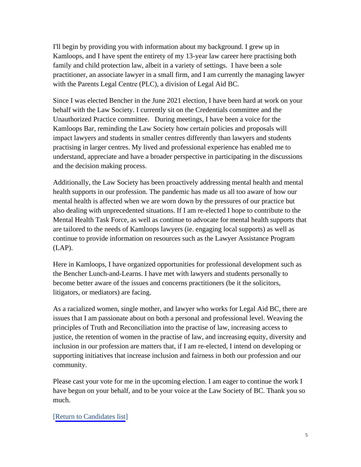I'll begin by providing you with information about my background. I grew up in Kamloops, and I have spent the entirety of my 13-year law career here practising both family and child protection law, albeit in a variety of settings. I have been a sole practitioner, an associate lawyer in a small firm, and I am currently the managing lawyer with the Parents Legal Centre (PLC), a division of Legal Aid BC.

Since I was elected Bencher in the June 2021 election, I have been hard at work on your behalf with the Law Society. I currently sit on the Credentials committee and the Unauthorized Practice committee. During meetings, I have been a voice for the Kamloops Bar, reminding the Law Society how certain policies and proposals will impact lawyers and students in smaller centres differently than lawyers and students practising in larger centres. My lived and professional experience has enabled me to understand, appreciate and have a broader perspective in participating in the discussions and the decision making process.

Additionally, the Law Society has been proactively addressing mental health and mental health supports in our profession. The pandemic has made us all too aware of how our mental health is affected when we are worn down by the pressures of our practice but also dealing with unprecedented situations. If I am re-elected I hope to contribute to the Mental Health Task Force, as well as continue to advocate for mental health supports that are tailored to the needs of Kamloops lawyers (ie. engaging local supports) as well as continue to provide information on resources such as the Lawyer Assistance Program (LAP).

Here in Kamloops, I have organized opportunities for professional development such as the Bencher Lunch-and-Learns. I have met with lawyers and students personally to become better aware of the issues and concerns practitioners (be it the solicitors, litigators, or mediators) are facing.

As a racialized women, single mother, and lawyer who works for Legal Aid BC, there are issues that I am passionate about on both a personal and professional level. Weaving the principles of Truth and Reconciliation into the practise of law, increasing access to justice, the retention of women in the practise of law, and increasing equity, diversity and inclusion in our profession are matters that, if I am re-elected, I intend on developing or supporting initiatives that increase inclusion and fairness in both our profession and our community.

Please cast your vote for me in the upcoming election. I am eager to continue the work I have begun on your behalf, and to be your voice at the Law Society of BC. Thank you so much.

#### [[Return to Candidates list\]](#page-0-0)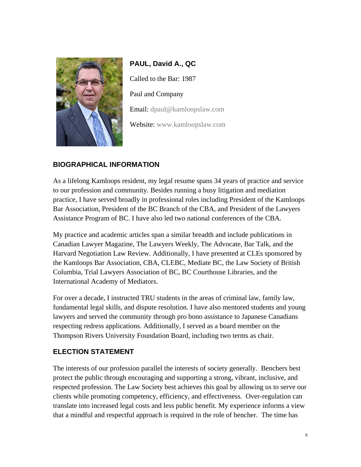<span id="page-5-0"></span>

**PAUL, David A., QC** Called to the Bar: 1987 Paul and Company Email: [dpaul@kamloopslaw.com](mailto:dpaul@kamloopslaw.com) Website: [www.kamloopslaw.com](https://kamloopslaw.com/our-lawyers/)

#### **BIOGRAPHICAL INFORMATION**

As a lifelong Kamloops resident, my legal resume spans 34 years of practice and service to our profession and community. Besides running a busy litigation and mediation practice, I have served broadly in professional roles including President of the Kamloops Bar Association, President of the BC Branch of the CBA, and President of the Lawyers Assistance Program of BC. I have also led two national conferences of the CBA.

My practice and academic articles span a similar breadth and include publications in Canadian Lawyer Magazine, The Lawyers Weekly, The Advocate, Bar Talk, and the Harvard Negotiation Law Review. Additionally, I have presented at CLEs sponsored by the Kamloops Bar Association, CBA, CLEBC, Mediate BC, the Law Society of British Columbia, Trial Lawyers Association of BC, BC Courthouse Libraries, and the International Academy of Mediators.

For over a decade, I instructed TRU students in the areas of criminal law, family law, fundamental legal skills, and dispute resolution. I have also mentored students and young lawyers and served the community through pro bono assistance to Japanese Canadians respecting redress applications. Additionally, I served as a board member on the Thompson Rivers University Foundation Board, including two terms as chair.

#### **ELECTION STATEMENT**

The interests of our profession parallel the interests of society generally. Benchers best protect the public through encouraging and supporting a strong, vibrant, inclusive, and respected profession. The Law Society best achieves this goal by allowing us to serve our clients while promoting competency, efficiency, and effectiveness. Over-regulation can translate into increased legal costs and less public benefit. My experience informs a view that a mindful and respectful approach is required in the role of bencher. The time has